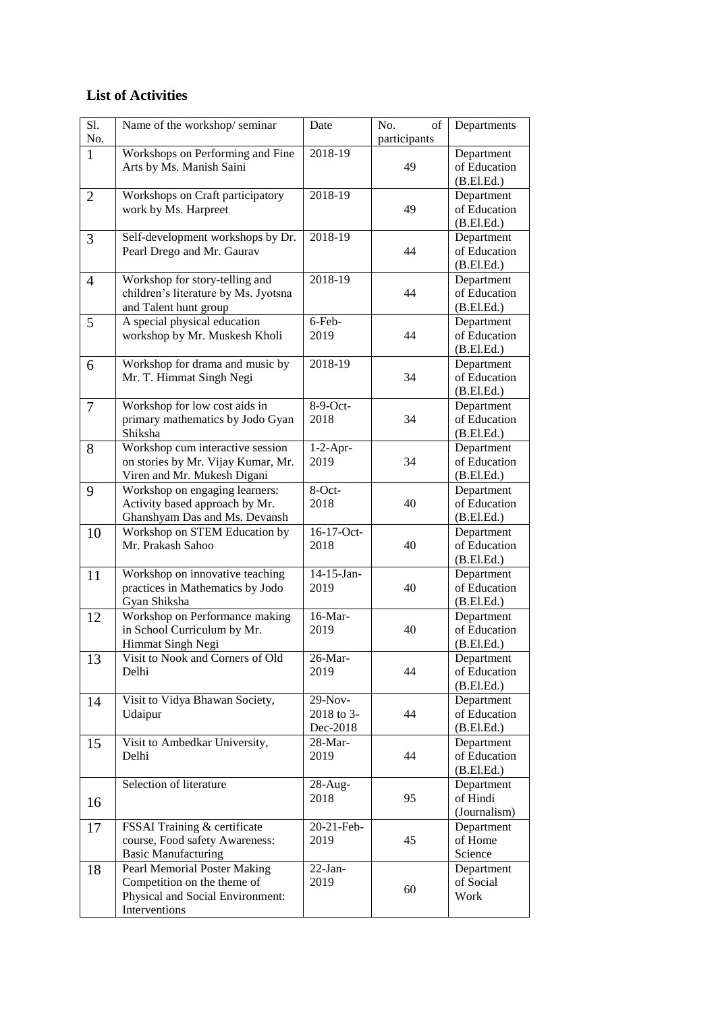## **List of Activities**

| S1.<br>No.     | Name of the workshop/seminar                                                                                     | Date                              | No.<br>of<br>participants | Departments                              |
|----------------|------------------------------------------------------------------------------------------------------------------|-----------------------------------|---------------------------|------------------------------------------|
| $\mathbf{1}$   | Workshops on Performing and Fine<br>Arts by Ms. Manish Saini                                                     | 2018-19                           | 49                        | Department<br>of Education<br>(B.EI.Ed.) |
| $\overline{2}$ | Workshops on Craft participatory<br>work by Ms. Harpreet                                                         | 2018-19                           | 49                        | Department<br>of Education<br>(B.EI.Ed.) |
| 3              | Self-development workshops by Dr.<br>Pearl Drego and Mr. Gaurav                                                  | 2018-19                           | 44                        | Department<br>of Education<br>(B.EI.Ed.) |
| $\overline{4}$ | Workshop for story-telling and<br>children's literature by Ms. Jyotsna<br>and Talent hunt group                  | 2018-19                           | 44                        | Department<br>of Education<br>(B.El.Ed.) |
| 5              | A special physical education<br>workshop by Mr. Muskesh Kholi                                                    | 6-Feb-<br>2019                    | 44                        | Department<br>of Education<br>(B.EI.Ed.) |
| 6              | Workshop for drama and music by<br>Mr. T. Himmat Singh Negi                                                      | 2018-19                           | 34                        | Department<br>of Education<br>(B.El.Ed.) |
| $\overline{7}$ | Workshop for low cost aids in<br>primary mathematics by Jodo Gyan<br>Shiksha                                     | $8-9-Ort$ -<br>2018               | 34                        | Department<br>of Education<br>(B.El.Ed.) |
| 8              | Workshop cum interactive session<br>on stories by Mr. Vijay Kumar, Mr.<br>Viren and Mr. Mukesh Digani            | $1-2$ -Apr-<br>2019               | 34                        | Department<br>of Education<br>(B.El.Ed.) |
| 9              | Workshop on engaging learners:<br>Activity based approach by Mr.<br>Ghanshyam Das and Ms. Devansh                | 8-Oct-<br>2018                    | 40                        | Department<br>of Education<br>(B.El.Ed.) |
| 10             | Workshop on STEM Education by<br>Mr. Prakash Sahoo                                                               | 16-17-Oct-<br>2018                | 40                        | Department<br>of Education<br>(B.El.Ed.) |
| 11             | Workshop on innovative teaching<br>practices in Mathematics by Jodo<br>Gyan Shiksha                              | 14-15-Jan-<br>2019                | 40                        | Department<br>of Education<br>(B.El.Ed.) |
| 12             | Workshop on Performance making<br>in School Curriculum by Mr.<br>Himmat Singh Negi                               | 16-Mar-<br>2019                   | 40                        | Department<br>of Education<br>(B.El.Ed.) |
| 13             | Visit to Nook and Corners of Old<br>Delhi                                                                        | 26-Mar-<br>2019                   | 44                        | Department<br>of Education<br>(B.El.Ed.) |
| 14             | Visit to Vidya Bhawan Society,<br>Udaipur                                                                        | 29-Nov-<br>2018 to 3-<br>Dec-2018 | 44                        | Department<br>of Education<br>(B.El.Ed.) |
| 15             | Visit to Ambedkar University,<br>Delhi                                                                           | $28$ -Mar-<br>2019                | 44                        | Department<br>of Education<br>(B.El.Ed.) |
| 16             | Selection of literature                                                                                          | $28$ -Aug-<br>2018                | 95                        | Department<br>of Hindi<br>(Journalism)   |
| 17             | FSSAI Training & certificate<br>course, Food safety Awareness:<br><b>Basic Manufacturing</b>                     | 20-21-Feb-<br>2019                | 45                        | Department<br>of Home<br>Science         |
| 18             | Pearl Memorial Poster Making<br>Competition on the theme of<br>Physical and Social Environment:<br>Interventions | $22-Ian-$<br>2019                 | 60                        | Department<br>of Social<br>Work          |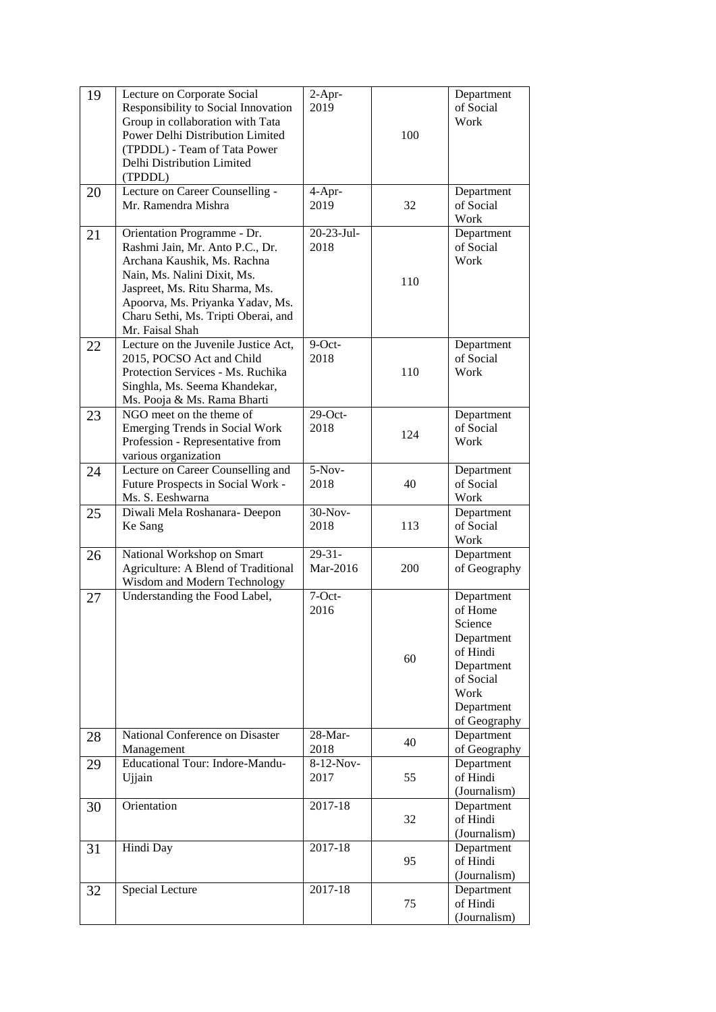| 19 | Lecture on Corporate Social<br>Responsibility to Social Innovation<br>Group in collaboration with Tata<br>Power Delhi Distribution Limited<br>(TPDDL) - Team of Tata Power<br>Delhi Distribution Limited<br>(TPDDL)                                          | $2-Apr-$<br>2019        | 100 | Department<br>of Social<br>Work                                                                                             |
|----|--------------------------------------------------------------------------------------------------------------------------------------------------------------------------------------------------------------------------------------------------------------|-------------------------|-----|-----------------------------------------------------------------------------------------------------------------------------|
| 20 | Lecture on Career Counselling -<br>Mr. Ramendra Mishra                                                                                                                                                                                                       | 4-Apr-<br>2019          | 32  | Department<br>of Social<br>Work                                                                                             |
| 21 | Orientation Programme - Dr.<br>Rashmi Jain, Mr. Anto P.C., Dr.<br>Archana Kaushik, Ms. Rachna<br>Nain, Ms. Nalini Dixit, Ms.<br>Jaspreet, Ms. Ritu Sharma, Ms.<br>Apoorva, Ms. Priyanka Yadav, Ms.<br>Charu Sethi, Ms. Tripti Oberai, and<br>Mr. Faisal Shah | 20-23-Jul-<br>2018      | 110 | Department<br>of Social<br>Work                                                                                             |
| 22 | Lecture on the Juvenile Justice Act,<br>2015, POCSO Act and Child<br>Protection Services - Ms. Ruchika<br>Singhla, Ms. Seema Khandekar,<br>Ms. Pooja & Ms. Rama Bharti                                                                                       | 9-Oct-<br>2018          | 110 | Department<br>of Social<br>Work                                                                                             |
| 23 | NGO meet on the theme of<br><b>Emerging Trends in Social Work</b><br>Profession - Representative from<br>various organization                                                                                                                                | $29$ -Oct-<br>2018      | 124 | Department<br>of Social<br>Work                                                                                             |
| 24 | Lecture on Career Counselling and<br>Future Prospects in Social Work -<br>Ms. S. Eeshwarna                                                                                                                                                                   | $5-Nov-$<br>2018        | 40  | Department<br>of Social<br>Work                                                                                             |
| 25 | Diwali Mela Roshanara- Deepon<br>Ke Sang                                                                                                                                                                                                                     | 30-Nov-<br>2018         | 113 | Department<br>of Social<br>Work                                                                                             |
| 26 | National Workshop on Smart<br>Agriculture: A Blend of Traditional<br>Wisdom and Modern Technology                                                                                                                                                            | $29 - 31 -$<br>Mar-2016 | 200 | Department<br>of Geography                                                                                                  |
| 27 | Understanding the Food Label,                                                                                                                                                                                                                                | 7-Oct-<br>2016          | 60  | Department<br>of Home<br>Science<br>Department<br>of Hindi<br>Department<br>of Social<br>Work<br>Department<br>of Geography |
| 28 | National Conference on Disaster<br>Management                                                                                                                                                                                                                | 28-Mar-<br>2018         | 40  | Department<br>of Geography                                                                                                  |
| 29 | <b>Educational Tour: Indore-Mandu-</b><br>Ujjain                                                                                                                                                                                                             | 8-12-Nov-<br>2017       | 55  | Department<br>of Hindi<br>(Journalism)                                                                                      |
| 30 | Orientation                                                                                                                                                                                                                                                  | 2017-18                 | 32  | Department<br>of Hindi<br>(Journalism)                                                                                      |
| 31 | Hindi Day                                                                                                                                                                                                                                                    | 2017-18                 | 95  | Department<br>of Hindi<br>(Journalism)                                                                                      |
| 32 | Special Lecture                                                                                                                                                                                                                                              | $2017 - 18$             | 75  | Department<br>of Hindi<br>(Journalism)                                                                                      |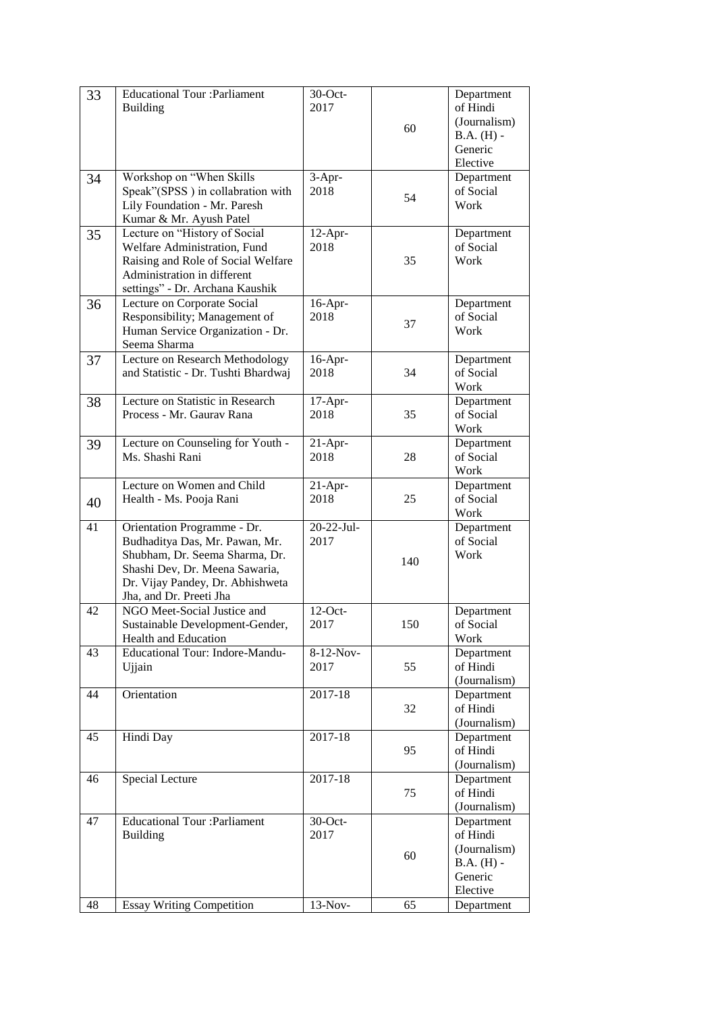| 33 | <b>Educational Tour : Parliament</b>   | 30-Oct-     |     | Department   |
|----|----------------------------------------|-------------|-----|--------------|
|    | <b>Building</b>                        | 2017        |     | of Hindi     |
|    |                                        |             | 60  | (Journalism) |
|    |                                        |             |     | $B.A. (H) -$ |
|    |                                        |             |     | Generic      |
|    |                                        |             |     | Elective     |
| 34 | Workshop on "When Skills               | $3-Apr-$    |     | Department   |
|    | Speak"(SPSS) in collabration with      | 2018        | 54  | of Social    |
|    | Lily Foundation - Mr. Paresh           |             |     | Work         |
|    | Kumar & Mr. Ayush Patel                |             |     |              |
| 35 | Lecture on "History of Social          | 12-Apr-     |     | Department   |
|    | Welfare Administration, Fund           | 2018        |     | of Social    |
|    | Raising and Role of Social Welfare     |             | 35  | Work         |
|    | Administration in different            |             |     |              |
|    | settings" - Dr. Archana Kaushik        |             |     |              |
| 36 | Lecture on Corporate Social            | $16$ -Apr-  |     | Department   |
|    | Responsibility; Management of          | 2018        |     | of Social    |
|    | Human Service Organization - Dr.       |             | 37  | Work         |
|    | Seema Sharma                           |             |     |              |
| 37 | Lecture on Research Methodology        | $16$ -Apr-  |     | Department   |
|    | and Statistic - Dr. Tushti Bhardwaj    | 2018        | 34  | of Social    |
|    |                                        |             |     | Work         |
| 38 | Lecture on Statistic in Research       | $17-Apr-$   |     | Department   |
|    | Process - Mr. Gaurav Rana              | 2018        | 35  | of Social    |
|    |                                        |             |     | Work         |
| 39 | Lecture on Counseling for Youth -      | $21-Apr-$   |     | Department   |
|    | Ms. Shashi Rani                        | 2018        | 28  | of Social    |
|    |                                        |             |     | Work         |
|    | Lecture on Women and Child             | $21-Apr-$   |     | Department   |
| 40 | Health - Ms. Pooja Rani                | 2018        | 25  | of Social    |
|    |                                        |             |     | Work         |
| 41 | Orientation Programme - Dr.            | 20-22-Jul-  |     | Department   |
|    | Budhaditya Das, Mr. Pawan, Mr.         | 2017        |     | of Social    |
|    | Shubham, Dr. Seema Sharma, Dr.         |             | 140 | Work         |
|    | Shashi Dev, Dr. Meena Sawaria,         |             |     |              |
|    | Dr. Vijay Pandey, Dr. Abhishweta       |             |     |              |
|    | Jha, and Dr. Preeti Jha                |             |     |              |
| 42 | NGO Meet-Social Justice and            | $12$ -Oct-  |     | Department   |
|    | Sustainable Development-Gender,        | 2017        | 150 | of Social    |
|    | Health and Education                   |             |     | Work         |
| 43 | <b>Educational Tour: Indore-Mandu-</b> | 8-12-Nov-   |     | Department   |
|    | Ujjain                                 | 2017        | 55  | of Hindi     |
|    |                                        |             |     | (Journalism) |
| 44 | Orientation                            | $2017 - 18$ |     | Department   |
|    |                                        |             | 32  | of Hindi     |
|    |                                        |             |     | (Journalism) |
| 45 | Hindi Day                              | 2017-18     |     | Department   |
|    |                                        |             | 95  | of Hindi     |
|    |                                        |             |     | (Journalism) |
| 46 | Special Lecture                        | 2017-18     |     | Department   |
|    |                                        |             | 75  | of Hindi     |
|    |                                        |             |     | (Journalism) |
| 47 | <b>Educational Tour : Parliament</b>   | $30$ -Oct-  |     | Department   |
|    | <b>Building</b>                        | 2017        |     | of Hindi     |
|    |                                        |             | 60  | (Journalism) |
|    |                                        |             |     | $B.A. (H) -$ |
|    |                                        |             |     | Generic      |
|    |                                        |             |     | Elective     |
| 48 | <b>Essay Writing Competition</b>       | $13-Nov-$   | 65  | Department   |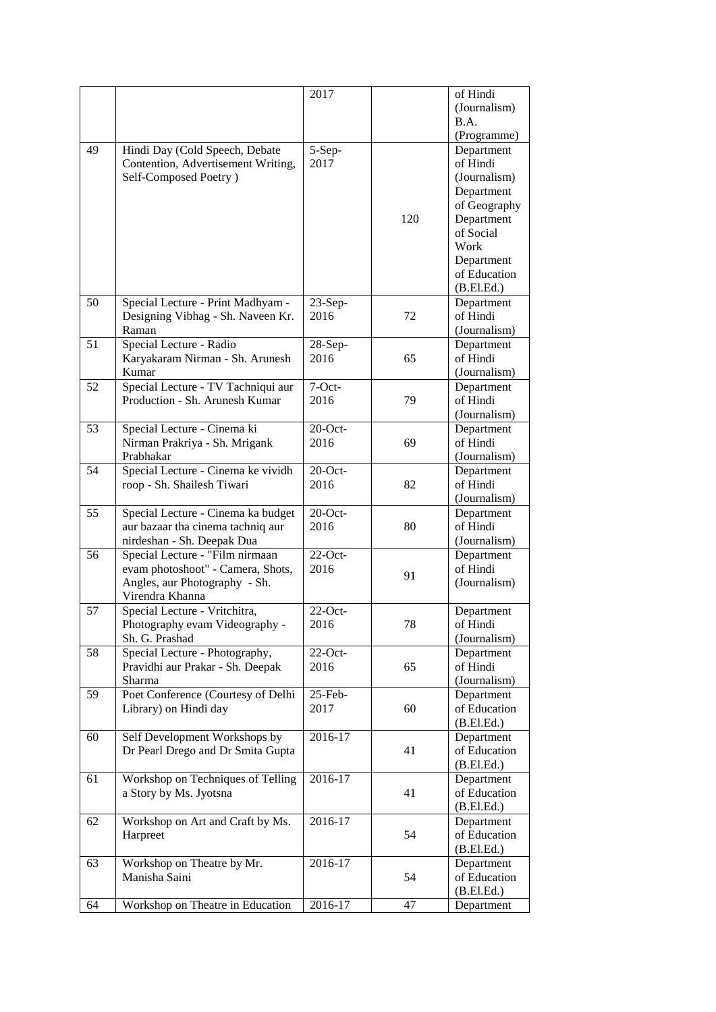|    |                                    | 2017        |     | of Hindi                |
|----|------------------------------------|-------------|-----|-------------------------|
|    |                                    |             |     | (Journalism)            |
|    |                                    |             |     | B.A.                    |
|    |                                    |             |     | (Programme)             |
| 49 | Hindi Day (Cold Speech, Debate     | 5-Sep-      |     | Department              |
|    | Contention, Advertisement Writing, | 2017        |     | of Hindi                |
|    | Self-Composed Poetry)              |             |     | (Journalism)            |
|    |                                    |             |     | Department              |
|    |                                    |             |     | of Geography            |
|    |                                    |             | 120 |                         |
|    |                                    |             |     | Department<br>of Social |
|    |                                    |             |     | Work                    |
|    |                                    |             |     |                         |
|    |                                    |             |     | Department              |
|    |                                    |             |     | of Education            |
|    |                                    |             |     | (B.El.Ed.)              |
| 50 | Special Lecture - Print Madhyam -  | $23-Sep-$   |     | Department              |
|    | Designing Vibhag - Sh. Naveen Kr.  | 2016        | 72  | of Hindi                |
|    | Raman                              |             |     | (Journalism)            |
| 51 | Special Lecture - Radio            | 28-Sep-     |     | Department              |
|    | Karyakaram Nirman - Sh. Arunesh    | 2016        | 65  | of Hindi                |
|    | Kumar                              |             |     | (Journalism)            |
| 52 | Special Lecture - TV Tachniqui aur | $7-Oct-$    |     | Department              |
|    | Production - Sh. Arunesh Kumar     | 2016        | 79  | of Hindi                |
|    |                                    |             |     | (Journalism)            |
| 53 | Special Lecture - Cinema ki        | $20$ -Oct-  |     | Department              |
|    | Nirman Prakriya - Sh. Mrigank      | 2016        | 69  | of Hindi                |
|    | Prabhakar                          |             |     | (Journalism)            |
| 54 | Special Lecture - Cinema ke vividh | $20$ -Oct-  |     | Department              |
|    | roop - Sh. Shailesh Tiwari         | 2016        | 82  | of Hindi                |
|    |                                    |             |     | (Journalism)            |
| 55 | Special Lecture - Cinema ka budget | $20$ -Oct-  |     | Department              |
|    | aur bazaar tha cinema tachniq aur  | 2016        | 80  | of Hindi                |
|    | nirdeshan - Sh. Deepak Dua         |             |     | (Journalism)            |
| 56 | Special Lecture - "Film nirmaan    | $22$ -Oct-  |     | Department              |
|    | evam photoshoot" - Camera, Shots,  | 2016        |     | of Hindi                |
|    | Angles, aur Photography - Sh.      |             | 91  | (Journalism)            |
|    | Virendra Khanna                    |             |     |                         |
| 57 | Special Lecture - Vritchitra,      | $22$ -Oct-  |     | Department              |
|    | Photography evam Videography -     | 2016        | 78  | of Hindi                |
|    | Sh. G. Prashad                     |             |     | (Journalism)            |
| 58 | Special Lecture - Photography,     | $22$ -Oct-  |     | Department              |
|    | Pravidhi aur Prakar - Sh. Deepak   | 2016        | 65  | of Hindi                |
|    | Sharma                             |             |     | (Journalism)            |
| 59 | Poet Conference (Courtesy of Delhi | 25-Feb-     |     | Department              |
|    | Library) on Hindi day              | 2017        | 60  | of Education            |
|    |                                    |             |     | (B.El.Ed.)              |
| 60 | Self Development Workshops by      | 2016-17     |     | Department              |
|    | Dr Pearl Drego and Dr Smita Gupta  |             | 41  | of Education            |
|    |                                    |             |     | (B.EI.Ed.)              |
| 61 | Workshop on Techniques of Telling  | 2016-17     |     | Department              |
|    | a Story by Ms. Jyotsna             |             | 41  | of Education            |
|    |                                    |             |     | (B.El.Ed.)              |
| 62 | Workshop on Art and Craft by Ms.   | $2016 - 17$ |     | Department              |
|    |                                    |             |     |                         |
|    | Harpreet                           |             | 54  | of Education            |
|    |                                    |             |     | (B.El.Ed.)              |
| 63 | Workshop on Theatre by Mr.         | 2016-17     |     | Department              |
|    | Manisha Saini                      |             | 54  | of Education            |
|    |                                    |             |     | (B.El.Ed.)              |
| 64 | Workshop on Theatre in Education   | 2016-17     | 47  | Department              |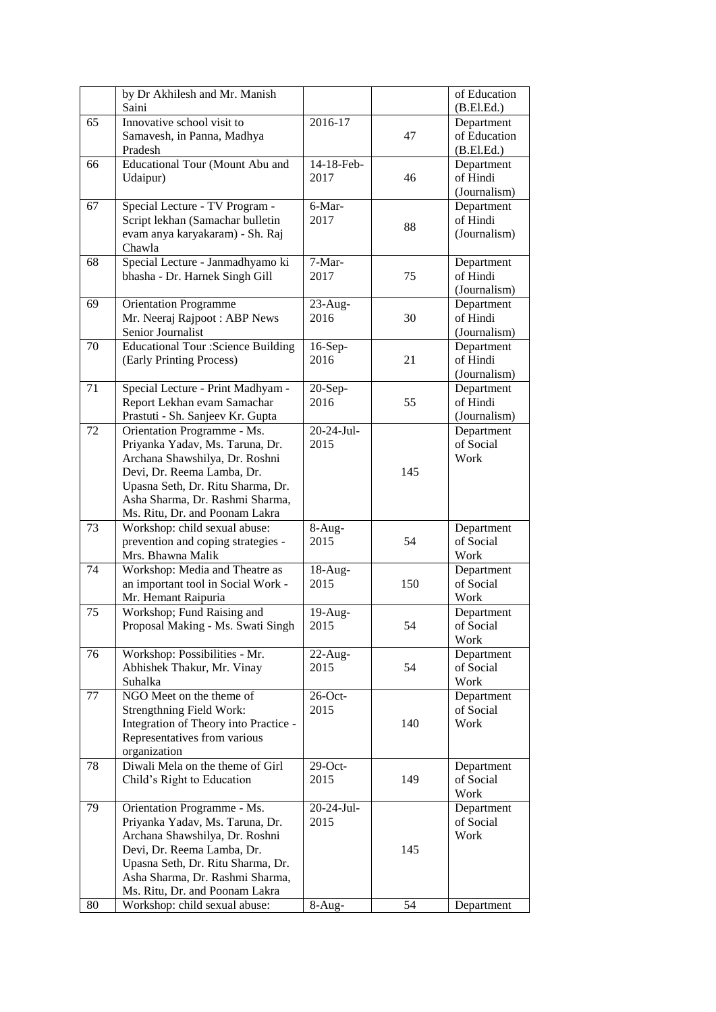|    | by Dr Akhilesh and Mr. Manish                                   |                  |     | of Education |
|----|-----------------------------------------------------------------|------------------|-----|--------------|
|    | Saini                                                           |                  |     | (B.El.Ed.)   |
| 65 | Innovative school visit to                                      | 2016-17          |     | Department   |
|    | Samavesh, in Panna, Madhya                                      |                  | 47  | of Education |
|    | Pradesh                                                         |                  |     | (B.EI.Ed.)   |
| 66 | Educational Tour (Mount Abu and                                 | 14-18-Feb-       |     | Department   |
|    | Udaipur)                                                        | 2017             | 46  | of Hindi     |
|    |                                                                 |                  |     | (Journalism) |
| 67 | Special Lecture - TV Program -                                  | 6-Mar-           |     | Department   |
|    | Script lekhan (Samachar bulletin                                | 2017             | 88  | of Hindi     |
|    | evam anya karyakaram) - Sh. Raj                                 |                  |     | (Journalism) |
|    | Chawla                                                          |                  |     |              |
| 68 | Special Lecture - Janmadhyamo ki                                | 7-Mar-           |     | Department   |
|    | bhasha - Dr. Harnek Singh Gill                                  | 2017             | 75  | of Hindi     |
|    |                                                                 |                  |     | (Journalism) |
| 69 | <b>Orientation Programme</b>                                    | 23-Aug-          |     | Department   |
|    | Mr. Neeraj Rajpoot: ABP News                                    | 2016             | 30  | of Hindi     |
|    | Senior Journalist                                               |                  |     | (Journalism) |
| 70 | <b>Educational Tour :Science Building</b>                       | 16-Sep-          |     | Department   |
|    | (Early Printing Process)                                        | 2016             | 21  | of Hindi     |
|    |                                                                 |                  |     | (Journalism) |
| 71 | Special Lecture - Print Madhyam -                               | 20-Sep-          |     | Department   |
|    | Report Lekhan evam Samachar                                     | 2016             | 55  | of Hindi     |
|    | Prastuti - Sh. Sanjeev Kr. Gupta                                |                  |     | (Journalism) |
| 72 | Orientation Programme - Ms.                                     | $20 - 24 -$ Jul- |     | Department   |
|    | Priyanka Yadav, Ms. Taruna, Dr.                                 | 2015             |     | of Social    |
|    | Archana Shawshilya, Dr. Roshni                                  |                  |     | Work         |
|    | Devi, Dr. Reema Lamba, Dr.                                      |                  | 145 |              |
|    | Upasna Seth, Dr. Ritu Sharma, Dr.                               |                  |     |              |
|    | Asha Sharma, Dr. Rashmi Sharma,                                 |                  |     |              |
| 73 | Ms. Ritu, Dr. and Poonam Lakra<br>Workshop: child sexual abuse: | $8-Aug-$         |     | Department   |
|    | prevention and coping strategies -                              | 2015             | 54  | of Social    |
|    | Mrs. Bhawna Malik                                               |                  |     | Work         |
| 74 | Workshop: Media and Theatre as                                  | 18-Aug-          |     | Department   |
|    | an important tool in Social Work -                              | 2015             | 150 | of Social    |
|    | Mr. Hemant Raipuria                                             |                  |     | Work         |
| 75 | Workshop; Fund Raising and                                      | $19-Aug-$        |     | Department   |
|    | Proposal Making - Ms. Swati Singh                               | 2015             | 54  | of Social    |
|    |                                                                 |                  |     | Work         |
| 76 | Workshop: Possibilities - Mr.                                   | $22-Aug-$        |     | Department   |
|    | Abhishek Thakur, Mr. Vinay                                      | 2015             | 54  | of Social    |
|    | Suhalka                                                         |                  |     | Work         |
| 77 | NGO Meet on the theme of                                        | $26$ -Oct-       |     | Department   |
|    | <b>Strengthning Field Work:</b>                                 | 2015             |     | of Social    |
|    | Integration of Theory into Practice -                           |                  | 140 | Work         |
|    | Representatives from various                                    |                  |     |              |
|    | organization                                                    |                  |     |              |
| 78 | Diwali Mela on the theme of Girl                                | $29$ -Oct-       |     | Department   |
|    | Child's Right to Education                                      | 2015             | 149 | of Social    |
|    |                                                                 |                  |     | Work         |
| 79 | Orientation Programme - Ms.                                     | 20-24-Jul-       |     | Department   |
|    | Priyanka Yadav, Ms. Taruna, Dr.                                 | 2015             |     | of Social    |
|    | Archana Shawshilya, Dr. Roshni                                  |                  |     | Work         |
|    | Devi, Dr. Reema Lamba, Dr.                                      |                  | 145 |              |
|    | Upasna Seth, Dr. Ritu Sharma, Dr.                               |                  |     |              |
|    | Asha Sharma, Dr. Rashmi Sharma,                                 |                  |     |              |
|    | Ms. Ritu, Dr. and Poonam Lakra                                  |                  |     |              |
| 80 | Workshop: child sexual abuse:                                   | 8-Aug-           | 54  | Department   |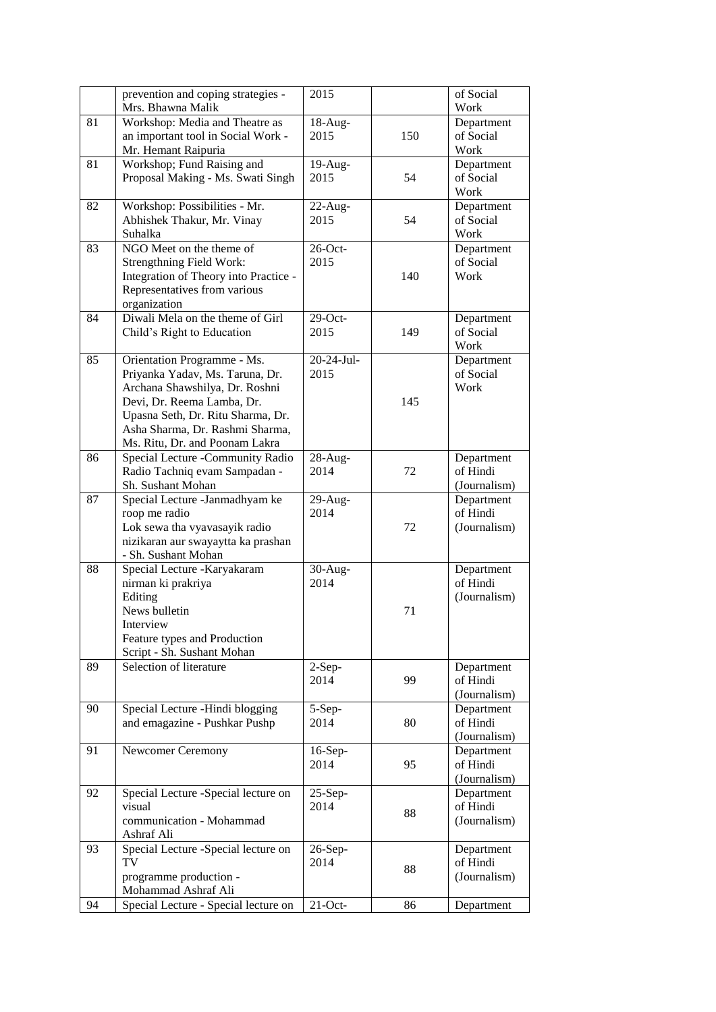|    | prevention and coping strategies -    | 2015       |     | of Social    |
|----|---------------------------------------|------------|-----|--------------|
|    | Mrs. Bhawna Malik                     |            |     | Work         |
| 81 | Workshop: Media and Theatre as        | $18-Aug-$  |     | Department   |
|    | an important tool in Social Work -    | 2015       | 150 | of Social    |
|    | Mr. Hemant Raipuria                   |            |     | Work         |
| 81 | Workshop; Fund Raising and            | $19-Aug-$  |     | Department   |
|    | Proposal Making - Ms. Swati Singh     | 2015       | 54  | of Social    |
|    |                                       |            |     | Work         |
| 82 | Workshop: Possibilities - Mr.         | $22$ -Aug- |     | Department   |
|    | Abhishek Thakur, Mr. Vinay            | 2015       | 54  | of Social    |
|    | Suhalka                               |            |     | Work         |
| 83 | NGO Meet on the theme of              | $26$ -Oct- |     | Department   |
|    | <b>Strengthning Field Work:</b>       | 2015       |     | of Social    |
|    | Integration of Theory into Practice - |            | 140 | Work         |
|    | Representatives from various          |            |     |              |
|    | organization                          |            |     |              |
| 84 | Diwali Mela on the theme of Girl      | $29$ -Oct- |     | Department   |
|    | Child's Right to Education            | 2015       | 149 | of Social    |
|    |                                       |            |     | Work         |
| 85 | Orientation Programme - Ms.           | 20-24-Jul- |     | Department   |
|    | Priyanka Yadav, Ms. Taruna, Dr.       | 2015       |     | of Social    |
|    | Archana Shawshilya, Dr. Roshni        |            |     | Work         |
|    | Devi, Dr. Reema Lamba, Dr.            |            | 145 |              |
|    | Upasna Seth, Dr. Ritu Sharma, Dr.     |            |     |              |
|    | Asha Sharma, Dr. Rashmi Sharma,       |            |     |              |
|    | Ms. Ritu, Dr. and Poonam Lakra        |            |     |              |
| 86 | Special Lecture -Community Radio      | 28-Aug-    |     | Department   |
|    | Radio Tachniq evam Sampadan -         | 2014       | 72  | of Hindi     |
|    | Sh. Sushant Mohan                     |            |     | (Journalism) |
| 87 | Special Lecture -Janmadhyam ke        | $29-Aug-$  |     | Department   |
|    | roop me radio                         | 2014       |     | of Hindi     |
|    | Lok sewa tha vyavasayik radio         |            | 72  | (Journalism) |
|    | nizikaran aur swayaytta ka prashan    |            |     |              |
|    | - Sh. Sushant Mohan                   |            |     |              |
| 88 | Special Lecture - Karyakaram          | $30-Aug-$  |     | Department   |
|    | nirman ki prakriya                    | 2014       |     | of Hindi     |
|    | Editing                               |            |     | (Journalism) |
|    | News bulletin                         |            | 71  |              |
|    | Interview                             |            |     |              |
|    | Feature types and Production          |            |     |              |
|    | Script - Sh. Sushant Mohan            |            |     |              |
| 89 | Selection of literature               | $2-Sep-$   |     | Department   |
|    |                                       | 2014       | 99  | of Hindi     |
|    |                                       |            |     | (Journalism) |
| 90 | Special Lecture -Hindi blogging       | $5-Sep-$   |     | Department   |
|    | and emagazine - Pushkar Pushp         | 2014       | 80  | of Hindi     |
|    |                                       |            |     | (Journalism) |
| 91 | Newcomer Ceremony                     | $16-Sep-$  |     | Department   |
|    |                                       | 2014       | 95  | of Hindi     |
|    |                                       |            |     | (Journalism) |
| 92 | Special Lecture -Special lecture on   | $25-Sep-$  |     | Department   |
|    | visual                                | 2014       | 88  | of Hindi     |
|    | communication - Mohammad              |            |     | (Journalism) |
|    | Ashraf Ali                            |            |     |              |
| 93 | Special Lecture -Special lecture on   | $26-Sep-$  |     | Department   |
|    | TV                                    | 2014       | 88  | of Hindi     |
|    | programme production -                |            |     | (Journalism) |
|    | Mohammad Ashraf Ali                   |            |     |              |
| 94 | Special Lecture - Special lecture on  | $21-Oct$ - | 86  | Department   |